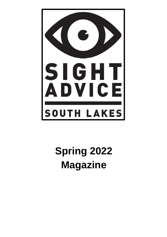

# **Spring 2022 Magazine**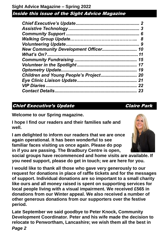| <b>Chief Executive's Update</b><br> |    |
|-------------------------------------|----|
|                                     | 3  |
|                                     | 6  |
|                                     | 8  |
|                                     | 9  |
|                                     | 10 |
|                                     | 11 |
|                                     | 15 |
|                                     | 17 |
|                                     | 19 |
| Children and Young People's Project | 20 |
|                                     | 21 |
| <b>VIP Diaries</b>                  | 22 |
|                                     | 23 |

### Chief Executive's Update **Claire Park**

**Welcome to our Spring magazine.**

**I hope I find our readers and their families safe and well.** 

**I am delighted to inform our readers that we are once again operational. It has been wonderful to see familiar faces visiting us once again. Please do pop in if you are passing. The Bradbury Centre is open,** 

**social groups have recommenced and home visits are available. If you need support, please do get in touch; we are here for you.**

**I would like to thank all those who gave very generously to our request for donations in place of raffle tickets and for the messages of support. Individual donations are so important to a small charity like ours and all money raised is spent on supporting services for local people living with a visual impairment. We received £565 in donations from our Winter appeal. We also received a number of other generous donations from our supporters over the festive period.**

**Late September we said goodbye to Peter Knock, Community Development Coordinator. Peter and his wife made the decision to relocate to Penwortham, Lancashire; we wish them all the best in** 

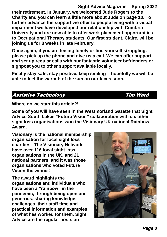**Sight Advice Magazine – Spring 2022 their retirement. In January, we welcomed Jude Rogers to the Charity and you can learn a little more about Jude on page 10. To further advance the support we offer to people living with a visual impairment we have developed our relationship with Cumbria University and are now able to offer work placement opportunities to Occupational Therapy students. Our first student, Claire, will be joining us for 8 weeks in late February.**

**Once again, if you are feeling lonely or find yourself struggling, please pick up the phone and give us a call. We can offer support and set up regular calls with our fantastic volunteer befrienders or signpost you to other support available locally.**

**Finally stay safe, stay positive, keep smiling – hopefully we will be able to feel the warmth of the sun on our faces soon.**

#### Assistive Technology **Tim Ward**

**Where do we start this article?!** 

**Some of you will have seen in the Westmorland Gazette that Sight Advice South Lakes "Future Vision" collaboration with six other sight loss organisations won the Visionary UK national Rainbow Award.** 

**Visionary is the national membership organisation for local sight loss charities. The Visionary Network have over 116 local sight loss organisations in the UK, and 21 national partners, and it was those organisations who voted Future Vision the winner!**

**The award highlights the organisations and individuals who have been a "rainbow" in the pandemic, through being open and generous, sharing knowledge, challenges, their staff time and practical information and examples of what has worked for them. Sight Advice are the regular hosts on** 

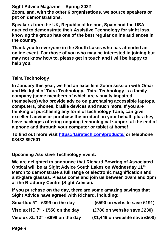**Zoom, and, with the other 6 organisations, we source speakers or put on demonstrations.**

**Speakers from the UK, Republic of Ireland, Spain and the USA queued to demonstrate their Assistive Technology for sight loss, knowing the group has one of the best regular online audiences in the country.** 

**Thank you to everyone in the South Lakes who has attended an online event. For those of you who may be interested in joining but may not know how to, please get in touch and I will be happy to help you.**

**Taira Technology**

**In January this year, we had an excellent Zoom session with Omar and Mo Iqbal of Taira Technology. Taira Technology is a family company (some members of which are visually impaired themselves) who provide advice on purchasing accessible laptops, computers, phones, braille devices and much more. If you are thinking of purchasing any form of technology Taira, can give excellent advice or purchase the product on your behalf, plus they have packages offering ongoing technological support at the end of a phone and through your computer or tablet at home!** 

**To find out more visit<https://tairatech.com/products/> or telephone 03432 897501** 

**Upcoming Assistive Technology Event:**

**We are delighted to announce that Richard Bowring of Associated Optical will be at Sight Advice South Lakes on Wednesday 11th March to demonstrate a full range of electronic magnification and anti-glare glasses. Please come and join us between 10am and 2pm at the Bradbury Centre (Sight Advice).**

**If you purchase on the day, there are some amazing savings that Sight Advice have agreed with Richard, including:**

| Smartlux 5" - £399 on the day    | (£590 on website save £191)   |
|----------------------------------|-------------------------------|
| Visolux HD 7" - £550 on the day  | (£780 on website save £230)   |
| Visolux XL 12" - £999 on the day | (£1,449 on website save £500) |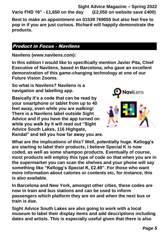**Sight Advice Magazine – Spring 2022 Vario FHD 16" - £1,650 on the day (£2,050 on website save £400)** 

**Best to make an appointment on 01539 769055 but also feel free to pop in if you are just curious. Richard will happily demonstrate the products.**

#### Product in Focus - Navilens

**Navilens (www.navilens.com):**

**In this edition I would like to specifically mention Javier Pita, Chief Executive of Navilens, based in Barcelona, who gave an excellent demonstration of this game-changing technology at one of our Future Vision Zooms.** 

**So what is Navilens? Navilens is a navigation and labelling app.** 

**Basically it's a code that can be read by your smartphone or tablet from up to 40 feet away, even while you are walking! There is a Navilens label outside Sight Advice and if you have the app turned on while you walk by it will read out "Sight Advice South Lakes, 116 Highgate, Kendal" and tell you how far away you are.** 



**What are the implications of this? Well, potentially huge. Kellogg's are starting to label their products, I believe Special K is now coded, as well as some shampoo products. Eventually of course, most products will employ this type of code so that when you are in the supermarket you can scan the shelves and your phone will say something like "Kellogg's Special K, £2.49". For those who want more information about calories or contents etc, for instance, this is also available.**

**In Barcelona and New York, amongst other cities, these codes are now in train and bus stations and can be used to inform passengers which platform they are on and when the next bus or train is due.**

**Sight Advice South Lakes are also going to work with a local museum to label their display items and add descriptions including dates and artists. This is especially useful given that there is also**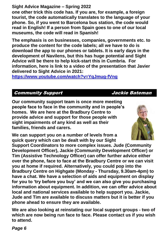**one other trick this code has. If you are, for example, a foreign tourist, the code automatically translates to the language of your phone. So, if you went to Barcelona bus station, the code would read in English! If a person from Spain goes to one of our local museums, the code will read in Spanish!** 

**The emphasis is on businesses, companies, governments etc. to produce the content for the code labels; all we have to do is download the app to our phones or tablets. It is early days in the development of Navilens, but this has huge potential and Sight Advice will be there to help kick-start this in Cumbria. For information, here is link to a video of the presentation that Javier delivered to Sight Advice in 2021:** 

**<https://www.youtube.com/watch?v=YqJmug-fVng>**

#### Community Support Jackie Bateman

**Our community support team is once more meeting people face to face in the community and in people's homes. We are here at the Bradbury Centre to provide advice and support for those people with sight impairments of any kind as well as their families, friends and carers.** 



**Support Coordinators to more complex issues. Jude (Community Development Officer), Jackie (Community Development Officer) or Tim (Assistive Technology Officer) can offer further advice either over the phone, face to face at the Bradbury Centre or we can visit you at home if required. Alternatively, you could pop into the Bradbury Centre on Highgate (Monday - Thursday, 9.30am-4pm) to have a chat. We have a selection of aids and equipment on display for you to 'try before you buy' and we can also give you purchasing information about equipment. In addition, we can offer advice about local and national services available to help support you. Jackie, Jude and Tim are available to discuss matters but it is better if you phone ahead to ensure they are available.**

**We are also looking at reinstating our local support groups - two of which are now being run face to face. Please contact us if you wish to attend.**

*Page 6*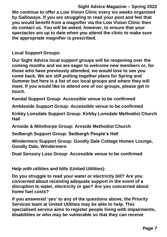**Sight Advice Magazine – Spring 2022 We continue to offer a Low Vision Clinic every six weeks organised by Galloways. If you are struggling to read your post and feel that you would benefit from a magnifier via the Low Vision Clinic then do contact us. You will be asked, however, to ensure that your spectacles are up to date when you attend the clinic to make sure the appropriate magnifier is prescribed.**

**Local Support Groups:**

**Our Sight Advice local support groups will be reopening over the coming months and we are eager to welcome new members or, for those who have previously attended, we would love to see you come back. We are still putting together plans for Spring and Summer but here is a list of our local groups and where they will meet. If you would like to attend one of our groups, please get in touch.**

**Kendal Support Group: Accessible venue to be confirmed**

**Ambleside Support Group: Accessible venue to be confirmed**

**Kirkby Lonsdale Support Group: Kirkby Lonsdale Methodist Church Hall**

**Arnside & Milnthorpe Group: Arnside Methodist Church**

**Sedbergh Support Group: Sedbergh People's Hall**

**Windermere Support Group: Goodly Dale Cottage Homes Lounge, Goodly Dale, Windermere**

**Dual Sensory Loss Group: Accessible venue to be confirmed**

**Help with utilities and bills (United Utilities):**

**Do you struggle to read your water or electricity bill? Are you concerned about receiving adequate support in the event of a disruption to water, electricity or gas? Are you concerned about home fuel costs?**

**If you answered 'yes' to any of the questions above, the Priority Services team at United Utilities may be able to help. This specialised service aims to register people living with impairments, disabilities or who may be vulnerable so that they can receive**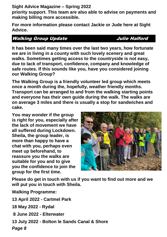**priority support. This team are also able to advise on payments and making billing more accessible.**

**For more information please contact Jackie or Jude here at Sight Advice.**

#### Walking Group Update **Group Halford**

**It has been said many times over the last two years, how fortunate we are in living in a county with such lovely scenery and great walks. Sometimes getting access to the countryside is not easy, due to lack of transport, confidence, company and knowledge of safe routes. If this sounds like you, have you considered joining our Walking Group?** we are in invirg in a county with such lovely scenery and great<br>well: Comptimes active cooses to the countries is not coord

**The Walking Group is a friendly volunteer led group which meets once a month during the, hopefully, weather friendly months. Transport can be arranged to and from the walking starting points and everyone has their own guide during the walk. The walks are on average 3 miles and there is usually a stop for sandwiches and cake.** 

**You may wonder if the group is right for you, especially after the lack of movement we have all suffered during Lockdown. Sheila, the group leader, is more than happy to have a chat with you, perhaps even meet up beforehand, to reassure you the walks are suitable for you and to give you the confidence to join the group for the first time.**



**Please do get in touch with us if you want to find out more and we will put you in touch with Sheila.**

**Walking Programme:**

**13 April 2022 - Cartmel Park** 

**18 May 2022 - Rydal**

**8 June 2022 - Elterwater**

**13 July 2022 - Bolton le Sands Canal & Shore**

*Page 8*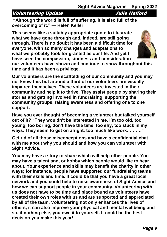#### Volunteering Update **Julie Halford**

**"Although the world is full of suffering, it is also full of the overcoming of it." — Helen Keller**

**This seems like a suitably appropriate quote to illustrate what we have gone through and, indeed, are still going through. There is no doubt it has been a difficult time for everyone, with so many changes and adaptations to what we probably took for granted as our life. And yet I have seen the compassion, kindness and consideration** 



**our volunteers have shown and continue to show throughout this time and it has been a privilege.**

**Our volunteers are the scaffolding of our community and you may not know this but around a third of our volunteers are visually impaired themselves. These volunteers are invested in their community and help it to thrive. They assist people by sharing their stories and getting involved in fundraising, supporting the community groups, raising awareness and offering one to one support.** 

**Have you ever thought of becoming a volunteer but talked yourself out of it? "They wouldn't be interested in me. I'm too old, too young, too boring, don't have the time, too shy, too stuck in my ways. They seem to get on alright, too much like work………."** 

**Get rid of all those misconceptions and have a confidential chat with me about why you should and how you can volunteer with Sight Advice.** 

**You may have a story to share which will help other people. You may have a talent and, or hobby which people would like to hear about. Your experience and skills may benefit the charity in other ways; for instance, people have supported our fundraising teams with their skills and time. It could be that you have a great local network and you could help to raise awareness of Sight Advice and how we can support people in your community. Volunteering with us does not have to be time and place bound as volunteers have created their own roles with us and are supported and appreciated by all of the team. Volunteering not only enhances the lives of others, it can also improve your physical and mental wellbeing and so, if nothing else, you owe it to yourself. It could be the best decision you make this year!**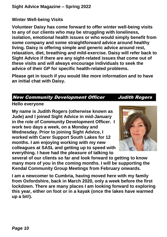#### **Winter Well-being Visits**

**Volunteer Daisy has come forward to offer winter well-being visits to any of our clients who may be struggling with loneliness, isolation, emotional health issues or who would simply benefit from some company and some straightforward advice around healthy living. Daisy is offering simple and generic advice around rest, relaxation, diet, breathing and mild-exercise. Daisy will refer back to Sight Advice if there are any sight-related issues that come out of these visits and will always encourage individuals to seek the advice of their GP for specific health-related problems.**

**Please get in touch if you would like more information and to have an initial chat with Daisy.**

#### New Community Development Officer Judith Rogers

#### **Hello everyone**

**My name is Judith Rogers (otherwise known as Jude) and I joined Sight Advice in mid-January in the role of Community Development Officer. I work two days a week, on a Monday and Wednesday. Prior to joining Sight Advice, I worked with Carer Support South Lakes for 12 months. I am enjoying working with my new colleagues at SASL and getting up to speed with everything. I have had the pleasure of talking to** 



**several of our clients so far and look forward to getting to know many more of you in the coming months. I will be supporting the Kendal Community Group Meetings from February onwards.** 

**I am a newcomer to Cumbria, having moved here with my family from Oxfordshire, back in March 2020, only a week before the first lockdown. There are many places I am looking forward to exploring this year, either on foot or in a kayak (once the lakes have warmed up a bit!).**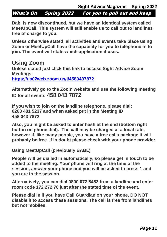What's On Spring 2022 For you to pull out and keep

Babl is now discontinued, but we have an identical system called **MeetUpCall. This system will still enable us to call out to landlines free of charge to you.**

Unless otherwise stated, all activities and events take place using **Zoom or MeetUpCall have the capability for you to telephone in to join. The event will state which application it uses.**

### **Using Zoom**

**Unless stated just click this link to access Sight Advice Zoom Meetings:**

**<https://us02web.zoom.us/j/4580437872>**

**Alternatively go to the Zoom website and use the following meeting ID for all events 458 043 7872**

**If you wish to join on the landline telephone, please dial: 0203 481 5237 and when asked put in the Meeting ID 458 043 7872**

**Also, you might be asked to enter hash at the end (bottom right button on phone dial). The call may be charged at a local rate, however if, like many people, you have a free calls package it will probably be free. If in doubt please check with your phone provider.**

**Using MeetUpCall (previously BABL)**

**People will be dialled in automatically, so please get in touch to be added to the meeting. Your phone will ring at the time of the session, answer your phone and you will be asked to press 1 and you are in the session.** 

**Alternatively, you can dial 0800 072 8452 from a landline and enter room code 172 272 76 just after the stated time of the event.**

**Please dial in if you have Call Guardian on your phone, DO NOT disable it to access these sessions. The call is free from landlines but not mobiles.**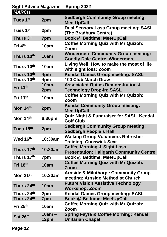**Sight Advice Magazine – Spring 2022**

| <b>MARCH</b>           |                  |                                                                                           |
|------------------------|------------------|-------------------------------------------------------------------------------------------|
| Tues 1 <sup>st</sup>   | 2pm              | <b>Sedbergh Community Group meeting:</b><br><b>MeetUpCall</b>                             |
| Tues 1st               | 2pm              | <b>Dual Sensory Loss Group meeting: SASL</b><br>(The Bradbury Centre)                     |
| Thurs 3rd              | 7pm              | <b>Book @ Bedtime: MeetUpCall</b>                                                         |
| Fri 4 <sup>th</sup>    | 10am             | <b>Coffee Morning Quiz with Mr Quizoh:</b><br>Zoom                                        |
| Thurs 10th             | 10am             | <b>Windermere Community Group meeting:</b><br><b>Goodly Dale Centre, Windermere</b>       |
| Thurs 10th             | 10am             | Living Well: How to make the most of life<br>with sight loss: Zoom                        |
| Thurs 10th             | 4pm              | <b>Kendal Games Group meeting: SASL</b>                                                   |
| Thurs 10 <sup>th</sup> | 4pm              | <b>100 Club March Draw</b>                                                                |
| Fri 11th               | $10am -$<br>2pm  | <b>Associated Optics Demonstration &amp;</b><br><b>Technology Drop-in: SASL</b>           |
| Fri $11th$             | 10am             | <b>Coffee Morning Quiz with Mr Quizoh:</b><br>Zoom                                        |
| Mon 14th               | 2pm              | <b>Kendal Community Group meeting:</b><br><b>MeetUpCall</b>                               |
| Mon 14th               | 6:30pm           | <b>Quiz Night &amp; Fundraiser for SASL: Kendal</b><br><b>Golf Club</b>                   |
| Tues 15th              | 2pm              | <b>Sedbergh Community Group meeting:</b><br><b>Sedbergh People's Hall</b>                 |
| Wed 16th               | 10:30am          | <b>Walking Group Volunteers Refresher</b><br><b>Training: Cunswick Scar</b>               |
| Thurs 17th             | 10:30am          | <b>Coffee Morning &amp; Sight Loss</b><br><b>Presentation: Hallgarth Community Centre</b> |
| Thurs 17th             | 7pm              | <b>Book @ Bedtime: MeetUpCall</b>                                                         |
| Fri 18th               | 10am             | <b>Coffee Morning Quiz with Mr Quizoh:</b><br>Zoom                                        |
| Mon $21^{st}$          | 10:30am          | <b>Arnside &amp; Milnthorpe Community Group</b><br>meeting: Arnside Methodist Church      |
| Thurs 24th             | 10am             | <b>Future Vision Assistive Technology</b><br><b>Workshop: Zoom</b>                        |
| Thurs 24 <sup>th</sup> | 2pm              | <b>Kendal Games Group meeting: SASL</b>                                                   |
| Thurs 24th             | 7pm              | <b>Book @ Bedtime: MeetUpCall</b>                                                         |
| Fri $25th$             | 10am             | <b>Coffee Morning Quiz with Mr Quizoh:</b><br>Zoom                                        |
| Sat 26th               | $10am -$<br>12pm | <b>Spring Fayre &amp; Coffee Morning: Kendal</b><br><b>Unitarian Chapel</b>               |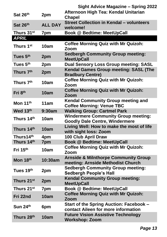|                        |                | Sight Advice Magazine - Spring 2022                                                  |
|------------------------|----------------|--------------------------------------------------------------------------------------|
| Sat 26th               | 2pm            | Afternoon High Tea: Kendal Unitarian                                                 |
|                        |                | <b>Chapel</b>                                                                        |
| Sat 26th               | <b>ALL DAY</b> | <b>Street Collection in Kendal - volunteers</b><br>welcome!                          |
| Thurs 31 <sup>st</sup> | 7pm            | <b>Book @ Bedtime: MeetUpCall</b>                                                    |
| <b>APRIL</b>           |                |                                                                                      |
| Thurs 1 <sup>st</sup>  | 10am           | <b>Coffee Morning Quiz with Mr Quizoh:</b><br>Zoom                                   |
| Tues 5 <sup>th</sup>   | 2pm            | <b>Sedbergh Community Group meeting:</b><br><b>MeetUpCall</b>                        |
| Tues 5th               | 2pm            | <b>Dual Sensory Loss Group meeting: SASL</b>                                         |
| Thurs 7th              | 2pm            | Kendal Games Group meeting: SASL (The<br><b>Bradbury Centre)</b>                     |
| Thurs 7 <sup>th</sup>  | 10am           | <b>Coffee Morning Quiz with Mr Quizoh:</b><br>Zoom                                   |
| Fri 8th                | 10am           | <b>Coffee Morning Quiz with Mr Quizoh:</b><br>Zoom                                   |
| Mon 11th               | 11am           | <b>Kendal Community Group meeting and</b><br><b>Coffee Morning: Venue TBC</b>        |
| Wed 13th               | 9:30am         | <b>Walking Group: Cartmel Park</b>                                                   |
| Thurs 14 <sup>th</sup> | 10am           | <b>Windermere Community Group meeting:</b><br><b>Goodly Dale Centre, Windermere</b>  |
| Thurs 14th             | 10am           | Living Well: How to make the most of life<br>with sight loss: Zoom                   |
| Thurs14th              | 4pm            | <b>100 Club April Draw</b>                                                           |
| Thurs 14th             | 7pm            | <b>Book @ Bedtime: MeetUpCall</b>                                                    |
| Fri 15th               | 10am           | <b>Coffee Morning Quiz with Mr Quizoh:</b><br>Zoom                                   |
| Mon 18th               | 10:30am        | <b>Arnside &amp; Milnthorpe Community Group</b><br>meeting: Arnside Methodist Church |
| Tues 19th              | 2pm            | <b>Sedbergh Community Group meeting:</b><br><b>Sedbergh People's Hall</b>            |
| Thurs 21st             | 2pm            | <b>Kendal Community Group meeting:</b><br><b>MeetUpCall</b>                          |
| Thurs 21 <sup>st</sup> | 7pm            | <b>Book @ Bedtime: MeetUpCall</b>                                                    |
| Fri 22nd               | 10am           | <b>Coffee Morning Quiz with Mr Quizoh:</b><br>Zoom                                   |
| Sun 24th               | 6pm            | Start of the Spring Auction: Facebook –<br>contact Aileen for more information       |
| Thurs 28 <sup>th</sup> | 10am           | <b>Future Vision Assistive Technology</b><br><b>Workshop: Zoom</b>                   |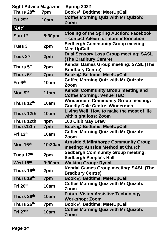|                        |         | <b>Sight Advice Magazine - Spring 2022</b>                                              |
|------------------------|---------|-----------------------------------------------------------------------------------------|
| Thurs 28th             | 7pm     | <b>Book @ Bedtime: MeetUpCall</b>                                                       |
| Fri 29th               | 10am    | <b>Coffee Morning Quiz with Mr Quizoh:</b><br><b>Zoom</b>                               |
| <b>MAY</b>             |         |                                                                                         |
| Sun 1 <sup>st</sup>    | 8:30pm  | <b>Closing of the Spring Auction: Facebook</b><br>- contact Aileen for more information |
| Tues 3 <sup>rd</sup>   | 2pm     | <b>Sedbergh Community Group meeting:</b><br><b>MeetUpCall</b>                           |
| Tues 3 <sup>rd</sup>   | 2pm     | <b>Dual Sensory Loss Group meeting: SASL</b><br>(The Bradbury Centre)                   |
| Thurs 5 <sup>th</sup>  | 2pm     | <b>Kendal Games Group meeting: SASL (The</b><br><b>Bradbury Centre)</b>                 |
| Thurs 5 <sup>th</sup>  | 7pm     | <b>Book @ Bedtime: MeetUpCall</b>                                                       |
| Fri 6 <sup>th</sup>    | 10am    | <b>Coffee Morning Quiz with Mr Quizoh:</b><br>Zoom                                      |
| Mon 9th                | 11am    | <b>Kendal Community Group meeting and</b><br><b>Coffee Morning: Venue TBC</b>           |
| Thurs 12 <sup>th</sup> | 10am    | <b>Windermere Community Group meeting:</b><br><b>Goodly Dale Centre, Windermere</b>     |
| Thurs 12th             | 10am    | Living Well: How to make the most of life<br>with sight loss: Zoom                      |
| Thurs 12th             | 4pm     | 100 Club May Draw                                                                       |
| Thurs12th              | 7pm     | <b>Book @ Bedtime: MeetUpCall</b>                                                       |
| Fri $13th$             | 10am    | <b>Coffee Morning Quiz with Mr Quizoh:</b><br>Zoom                                      |
| Mon 16th               | 10:30am | <b>Arnside &amp; Milnthorpe Community Group</b><br>meeting: Arnside Methodist Church    |
| Tues 17th              | 2pm     | <b>Sedbergh Community Group meeting:</b><br><b>Sedbergh People's Hall</b>               |
| Wed 18th               | 9:30am  | <b>Walking Group: Rydal</b>                                                             |
| Thurs 19 <sup>th</sup> | 2pm     | <b>Kendal Games Group meeting: SASL (The</b><br><b>Bradbury Centre)</b>                 |
| Thurs 19th             | 7pm     | <b>Book @ Bedtime: MeetUpCall</b>                                                       |
| Fri 20th               | 10am    | <b>Coffee Morning Quiz with Mr Quizoh:</b><br>Zoom                                      |
| Thurs 26th             | 10am    | <b>Future Vision Assistive Technology</b><br><b>Workshop: Zoom</b>                      |
| Thurs 26th             | 7pm     | <b>Book @ Bedtime: MeetUpCall</b>                                                       |
| Fri $27th$             | 10am    | <b>Coffee Morning Quiz with Mr Quizoh:</b><br><b>Zoom</b>                               |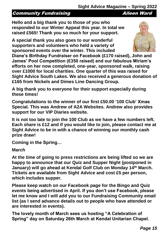#### **Community Fundraising Community Fundraising Community**

**Hello and a big thank you to those of you who responded to our Winter Appeal this year. In total we raised £565! Thank you so much for your support.**

**A special thank you also goes to our wonderful supporters and volunteers who held a variety of sponsored events over the winter. This included** 

**Diane's Birthday Fundraiser on Facebook (£170 raised), John and James' Pool Competition (£350 raised) and our fabulous Miriam's efforts on her now completed, one-year, sponsored walk, raising over £1000 for local charities. One quarter of this was raised for Sight Advice South Lakes. We also received a generous donation of £165 from Nickels and Dimes Line Dancing Group.** 

**A big thank you to everyone for their support especially during these times!**

**Congratulations to the winner of our first £50.00 '100 Club' Xmas Special. This was Andrew of A2A Websites. Andrew also provides support for our VIP Diaries website.** 

**It is not too late to join the 100 Club as we have a few numbers left. Each share is £12 and if you would like to join, please contact me at Sight Advice to be in with a chance of winning our monthly cash prize draw!**

**Coming in the Spring…**

#### **March**

**At the time of going to press restrictions are being lifted so we are happy to announce that our Quiz and Supper Night (postponed in January) will go ahead at Kendal Golf Club on Monday 14th March. Tickets are available from Sight Advice and cost £5 per person, which includes supper.** 

**Please keep watch on our Facebook page for the Bingo and Quiz events being advertised in April. If you don't use Facebook, please let me know and I will add you to our Fundraising Community email list (as I send advance details out to people who have attended or are interested in events).**

**The lovely month of March sees us hosting "A Celebration of Spring" day on Saturday 26th March at Kendal Unitarian Chapel.**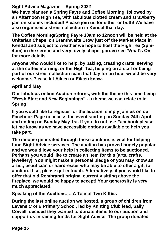**We have planned a Spring Fayre and Coffee Morning, followed by an Afternoon High Tea, with fabulous clotted cream and strawberry jam on scones included! Please join us for either or both! We have also organised a street collection in Kendal that day.**

**The Coffee Morning/Spring Fayre 10am to 12noon will be held at the Unitarian Chapel on Branthwaite Brow just off the Market Place in Kendal and subject to weather we hope to host the High Tea (2pm-4pm) in the serene and very lovely chapel garden see 'What's On' for more details.**

**Anyone who would like to help, by baking, creating crafts, serving at the coffee morning, or the High Tea, helping on a stall or being part of our street collection team that day for an hour would be very welcome. Please let Aileen or Eileen know.**

**April and May** 

**Our fabulous online Auction returns, with the theme this time being "Fresh Start and New Beginnings" - a theme we can relate to in Spring!** 

**If you would like to register for the auction, simply join us on our Facebook Page to access the event starting on Sunday 24th April and ending on Sunday May 1st. If you do not use Facebook please let me know as we have accessible options available to help you take part.**

**The income generated through these auctions is vital for helping fund Sight Advice services. The auction has proved hugely popular and we would love your help in collecting items to be auctioned. Perhaps you would like to create an item for this (arts, crafts, jewellery). You might make a personal pledge or you may know an artist, beautician or hairdresser who may be able to offer a gift to auction. If so, please get in touch. Alternatively, if you would like to offer that old Rembrandt original currently sitting above the fireplace, we would be happy to accept! Your generosity is very much appreciated.**

**Speaking of the Auctions…. A Tale of Two Kitties**

**During the last online auction we hosted, a group of children from Levens C of E Primary School, led by Knitting Club lead, Sally Cowell, decided they wanted to donate items to our auction and support us in raising funds for Sight Advice. The group donated**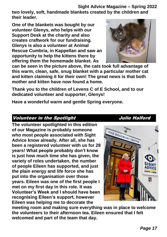**two lovely, soft, handmade blankets created by the children and their leader.** 

**One of the blankets was bought by our volunteer Glenys, who helps with our Support Desk at the charity and also creates craftwork for our fundraising. Glenys is also a volunteer at Animal Rescue Cumbria, in Kappellan and saw an opportunity to help the kittens there by offering them the homemade blanket. As** 



**can be seen in the picture above, the cats took full advantage of this warm, clean, safe, snug blanket with a particular mother cat and kitten claiming it for their own! The great news is that both mother and kitten have now found a home.**

**Thank you to the children of Levens C of E School, and to our dedicated volunteer and supporter, Glenys!**

**Have a wonderful warm and gentle Spring everyone.**

#### Volunteer in the Spotlight **The State of Section** Julie Halford

**The volunteer spotlighted in this edition of our Magazine is probably someone who most people associated with Sight Advice know already. After all, she has been a registered volunteer with us for 28 years! What people probably don't know is just how much time she has given, the variety of roles undertaken, the number of people Eileen has supported, and just the plain energy and life force she has put into the organisation over those years. Eileen was one of the first people I met on my first day in this role. It was Volunteer's Week and I should have been recognising Eileen's support, however Eileen was helping me to decorate the** 



**meeting room and making sure everything was in place to welcome the volunteers to their afternoon tea. Eileen ensured that I felt welcomed and part of the team that day.**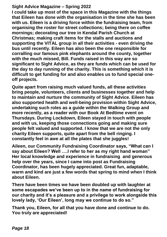**I could take up most of the space in this Magazine with the things that Eileen has done with the organisation in the time she has been with us. Eileen is a driving force within the fundraising team, from organising the roster for street collections; being there on coffee mornings; decorating our tree in Kendal Parish Church at Christmas; making craft items for the stalls and auctions and supporting the VITAL group in all their activities - even driving the bus until recently. Eileen has also been the one responsible for corralling our famous pink elephants around the county, together with the much missed, Bill. Funds raised in this way are so significant to Sight Advice, as they are funds which can be used for the day to day running of the charity. This is something which it is difficult to get funding for and also enables us to fund special oneoff projects.**

**Quite apart from raising much valued funds, all these activities bring people, volunteers, clients and businesses together and help to maintain and nurture the community of Sight Advice. Eileen has also supported health and well-being provision within Sight Advice, undertaking such roles as a guide within the Walking Group and more recently, as a reader with our Book At Bedtime event on Thursdays. During Lockdown, Eileen stayed in touch with people and with us, keeping those connections going and making sure people felt valued and supported. I know that we are not the only charity Eileen supports, quite apart from the bell ringing. I constantly feel in awe at all the plates that she juggles!** 

**Aileen, our Community Fundraising Coordinator says, "What can I say about Eileen? Well ….I refer to her as my right hand woman" Her local knowledge and experience in fundraising and generous help over the years, since I came into post as Fundraising Coordinator, has been hugely appreciated. Great fun, adaptable, warm and kind are just a few words that spring to mind when I think about Eileen.**

**There have been times we have been doubled up with laughter at some escapades we've been up to in the name of fundraising for our charity and it's a pleasure and a privilege to work alongside this lovely lady, 'Our Eileen', long may we continue to do so."**

**Thank you, Eileen, for all that you have done and continue to do. You truly are appreciated!**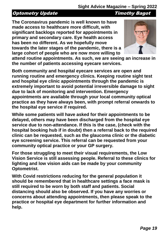#### Optometry Update Timothy Bagot

**The Coronavirus pandemic is well known to have made access to healthcare more difficult, with significant backlogs reported for appointments in primary and secondary care. Eye health access has been no different. As we hopefully move towards the later stages of the pandemic, there is a large cohort of people who are now more willing to** 



**attend routine appointments. As such, we are seeing an increase in the number of patients accessing eyecare services.**

**Both community and hospital eyecare services are open and running routine and emergency clinics. Keeping routine sight test and hospital eye clinic appointments through the pandemic is extremely important to avoid potential irreversible damage to sight due to lack of monitoring and intervention. Emergency appointments are available through your local community optical practice as they have always been, with prompt referral onwards to the hospital eye service if required.**

**While some patients will have asked for their appointments to be delayed, others may have been discharged from the hospital eye service due to non-attendance. If this is the case, (check with the hospital booking hub if in doubt) then a referral back to the required clinic can be requested, such as the glaucoma clinic or the diabetic eye screening service. This referral can be requested from your community optical practice or your GP surgery.**

**For those struggling to meet their visual requirements, the Low Vision Service is still assessing people. Referral to these clinics for lighting and low vision aids can be made by your community Optometrist.**

**With Covid restrictions reducing for the general population it should be remembered that in healthcare settings a face mask is still required to be worn by both staff and patients. Social distancing should also be observed. If you have any worries or concerns about attending appointments, then please speak to the practice or hospital eye department for further information and help.**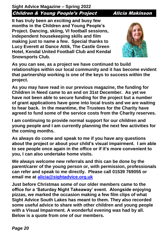**Sight Advice Magazine – Spring 2022** Children & Young People's Project Alicia Makinson

**It has truly been an exciting and busy few months in the Children and Young People's Project. Dancing, skiing, VI football sessions, independent housekeeping skills and film making just to name a few. Special thanks to Lucy Everett at Dance Attik, The Castle Green Hotel, Kendal United Football Club and Kendal Snowsports Club.**



**As you can see, as a project we have continued to build relationships within our local community and it has become evident that partnership working is one of the keys to success within the project.**

**As you may have read in our previous magazine, the funding for Children in Need came to an end on 31st December. As yet we have not been able to secure funding for the project but a number of grant applications have gone into local trusts and we are waiting to hear back. In the meantime, the Trustees for the Charity have agreed to fund some of the service costs from the Charity reserves.** 

**I am continuing to provide normal support for our children and young people and I am currently planning the next few activities for the coming months.** 

**As always do come and speak to me if you have any questions about the project or about your child's visual impairment. I am able to see people once again in the office or if it's more convenient to you, I can also undertake home visits.**

**We always welcome new referrals and this can be done by the parent/carer of the young person or, with permission, professionals can refer and speak to me directly. Please call 01539 769055 or email me at [alicia@sightadvice.org.uk](mailto:alicia@sightadvice.org.uk)**

**Just before Christmas some of our older members came to the office for a 'Saturday Night Takeaway' event. Alongside enjoying pizzas, we marked the occasion making a few film clips of what Sight Advice South Lakes has meant to them. They also recorded some useful advice to share with other children and young people with a Visual Impairment. A wonderful evening was had by all. Below is a quote from one of our members.**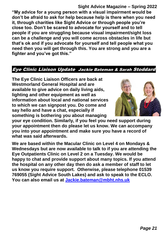**Sight Advice Magazine – Spring 2022 "My advice for a young person with a visual impairment would be don't be afraid to ask for help because help is there when you need it, through charities like Sight Advice or through people you're close too. Don't be scared to advocate for yourself and to tell people if you are struggling because visual impairment/sight loss can be a challenge and you will come across obstacles in life but that's ok and if you advocate for yourself and tell people what you need then you will get through this. You are strong and you are a fighter and you've got this."**

#### Eye Clinic Liaison Update Jackie Bateman & Sarah Stoddard

**The Eye Clinic Liaison Officers are back at Westmorland General Hospital and are available to give advice on daily living aids, lighting and other equipment as well as information about local and national services to which we can signpost you. Do come and say hello and have a chat, especially if something is bothering you about managing** 



**your eye condition. Similarly, if you feel you need support during your appointment then do please let us know. We can accompany you into your appointment and make sure you have a record of what was said afterwards.**

**We are based within the Macular Clinic on Level 4 on Mondays & Wednesdays but are now available to talk to if you are attending the Eye Outpatients Clinic on Level 2 on a Tuesday. We would be happy to chat and provide support about many topics. If you attend the hospital on any other day then do ask a member of staff to let us know you require support. Otherwise, please telephone 01539 769055 (Sight Advice South Lakes) and ask to speak to the ECLO. You can also email us at [Jackie.bateman@mbht.nhs.uk](mailto:Jackie.bateman@mbht.nhs.uk)**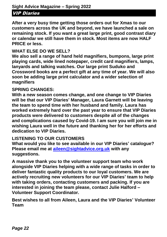#### VIP Diaries

**After a very busy time getting those orders out for Xmas to our customers across the UK and beyond, we have launched a sale on remaining stock. If you want a great large print, good contrast diary or calendar we still have them in stock. Most items are now HALF PRICE or less.**

#### **WHAT ELSE DO WE SELL?**

**We also sell a range of hand held magnifiers, bumpons, large print playing cards, wide lined notepaper, credit card magnifiers, lamps, lanyards and talking watches. Our large print Suduko and Crossword books are a perfect gift at any time of year. We will also soon be adding large print calculator and a wider selection of magnifiers**

#### **SPRING CHANGES:**

**With a new season comes change, and one change to VIP Diaries will be that our VIP Diaries' Manager, Laura Garnett will be leaving the team to spend time with her husband and family. Laura has worked extremely hard over the past year to ensure that VIP Diaries products were delivered to customers despite all of the changes and complications caused by Covid-19. I am sure you will join me in wishing Laura well in the future and thanking her for her efforts and dedication to VIP Diaries.**

#### **LISTENING TO OUR CUSTOMERS**

**What would you like to see available in our VIP Diaries' catalogue? Please email me at [aileen@sightadvice.org.uk](mailto:aileen@sightadvice.org.uk) with any suggestions.** 

**A massive thank you to the volunteer support team who work alongside VIP Diaries helping with a wide range of tasks in order to deliver fantastic quality products to our loyal customers. We are actively recruiting new volunteers for our VIP Diaries' team to help with taking orders, contacting customers and packing. If you are interested in joining the team please, contact Julie Halford – Volunteer Support Coordinator.** 

**Best wishes to all from Aileen, Laura and the VIP Diaries' Volunteer Team**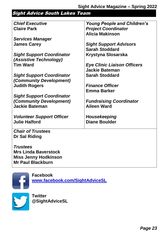### Sight Advice South Lakes Team

| <b>Chief Executive</b>           | <b>Young People and Children's</b> |
|----------------------------------|------------------------------------|
| <b>Claire Park</b>               | <b>Project Coordinator</b>         |
|                                  | <b>Alicia Makinson</b>             |
| <b>Services Manager</b>          |                                    |
| <b>James Carey</b>               | <b>Sight Support Advisors</b>      |
|                                  | <b>Sarah Stoddard</b>              |
| <b>Sight Support Coordinator</b> | <b>Krystyna Slosarska</b>          |
| (Assistive Technology)           |                                    |
| <b>Tim Ward</b>                  | <b>Eye Clinic Liaison Officers</b> |
|                                  | <b>Jackie Bateman</b>              |
| <b>Sight Support Coordinator</b> | <b>Sarah Stoddard</b>              |
| (Community Development)          |                                    |
| <b>Judith Rogers</b>             | <b>Finance Officer</b>             |
|                                  | <b>Emma Barker</b>                 |
| <b>Sight Support Coordinator</b> |                                    |
| (Community Development)          | <b>Fundraising Coordinator</b>     |
| <b>Jackie Bateman</b>            | <b>Aileen Ward</b>                 |
|                                  |                                    |
| <b>Volunteer Support Officer</b> | Housekeeping                       |
| <b>Julie Halford</b>             | <b>Diane Boulder</b>               |
|                                  |                                    |
| <b>Chair of Trustees</b>         |                                    |
| <b>Dr Sal Riding</b>             |                                    |
|                                  |                                    |
| <b>Trustees</b>                  |                                    |
| <b>Mrs Linda Baverstock</b>      |                                    |
| <b>Miss Jenny Hodkinson</b>      |                                    |
| <b>Mr Paul Blackburn</b>         |                                    |



**Facebook [www.facebook.com/SightAdviceSL](http://www.facebook.com/SightAdviceSL)**

**Twitter @SightAdviceSL**